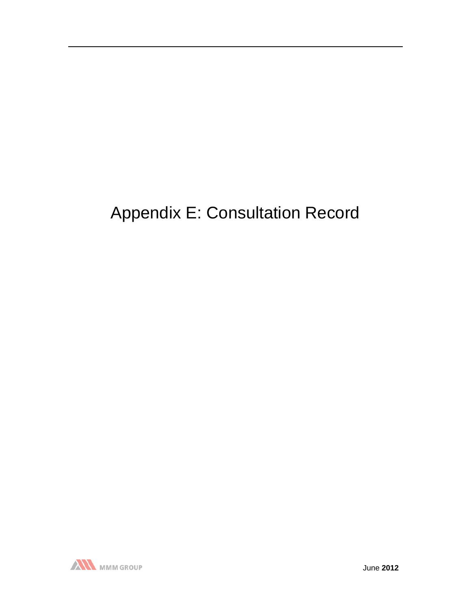# Appendix E: Consultation Record

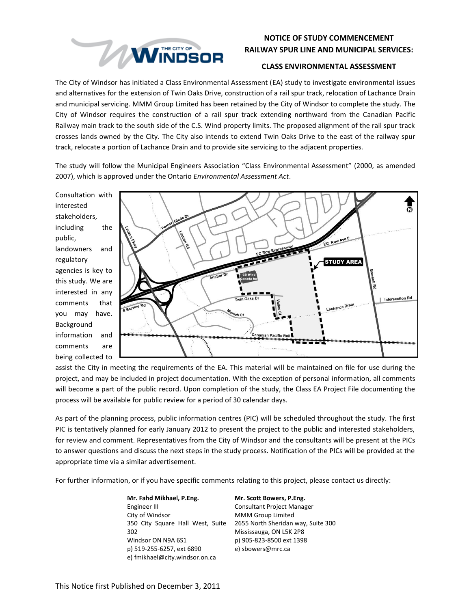

### **NOTICE OF STUDY COMMENCEMENT RAILWAY SPUR LINE AND MUNICIPAL SERVICES:**

#### **CLASS ENVIRONMENTAL ASSESSMENT**

The City of Windsor has initiated a Class Environmental Assessment (EA) study to investigate environmental issues and alternatives for the extension of Twin Oaks Drive, construction of a rail spur track, relocation of Lachance Drain and municipal servicing. MMM Group Limited has been retained by the City of Windsor to complete the study. The City of Windsor requires the construction of a rail spur track extending northward from the Canadian Pacific Railway main track to the south side of the C.S. Wind property limits. The proposed alignment of the rail spur track crosses lands owned by the City. The City also intends to extend Twin Oaks Drive to the east of the railway spur track, relocate a portion of Lachance Drain and to provide site servicing to the adjacent properties.

The study will follow the Municipal Engineers Association "Class Environmental Assessment" (2000, as amended 2007), which is approved under the Ontario *Environmental Assessment Act*.

Consultation with interested stakeholders, including the public, landowners and regulatory agencies is key to this study. We are interested in any comments that you may have. Background information and comments are being collected to



assist the City in meeting the requirements of the EA. This material will be maintained on file for use during the project, and may be included in project documentation. With the exception of personal information, all comments will become a part of the public record. Upon completion of the study, the Class EA Project File documenting the process will be available for public review for a period of 30 calendar days.

As part of the planning process, public information centres (PIC) will be scheduled throughout the study. The first PIC is tentatively planned for early January 2012 to present the project to the public and interested stakeholders, for review and comment. Representatives from the City of Windsor and the consultants will be present at the PICs to answer questions and discuss the next steps in the study process. Notification of the PICs will be provided at the appropriate time via a similar advertisement.

For further information, or if you have specific comments relating to this project, please contact us directly:

**Mr. Fahd Mikhael, P.Eng.** Engineer III City of Windsor 350 City Square Hall West, Suite 2655 North Sheridan way, Suite 300 302 Windsor ON N9A 6S1 p) 519-255-6257, ext 6890 e) fmikhael@city.windsor.on.ca

**Mr. Scott Bowers, P.Eng.** Consultant Project Manager MMM Group Limited Mississauga, ON L5K 2P8 p) 905-823-8500 ext 1398 e) sbowers@mrc.ca